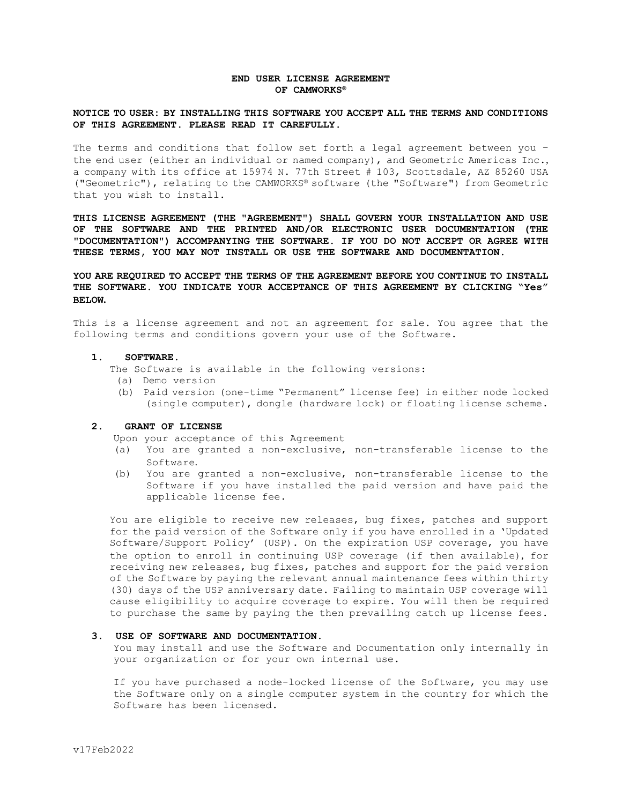# **END USER LICENSE AGREEMENT OF CAMWORKS®**

## **NOTICE TO USER: BY INSTALLING THIS SOFTWARE YOU ACCEPT ALL THE TERMS AND CONDITIONS OF THIS AGREEMENT. PLEASE READ IT CAREFULLY.**

The terms and conditions that follow set forth a legal agreement between you – the end user (either an individual or named company), and Geometric Americas Inc., a company with its office at 15974 N. 77th Street # 103, Scottsdale, AZ 85260 USA ("Geometric"), relating to the CAMWORKS® software (the "Software") from Geometric that you wish to install.

**THIS LICENSE AGREEMENT (THE "AGREEMENT") SHALL GOVERN YOUR INSTALLATION AND USE OF THE SOFTWARE AND THE PRINTED AND/OR ELECTRONIC USER DOCUMENTATION (THE "DOCUMENTATION") ACCOMPANYING THE SOFTWARE. IF YOU DO NOT ACCEPT OR AGREE WITH THESE TERMS, YOU MAY NOT INSTALL OR USE THE SOFTWARE AND DOCUMENTATION.** 

**YOU ARE REQUIRED TO ACCEPT THE TERMS OF THE AGREEMENT BEFORE YOU CONTINUE TO INSTALL THE SOFTWARE. YOU INDICATE YOUR ACCEPTANCE OF THIS AGREEMENT BY CLICKING "Yes" BELOW.**

This is a license agreement and not an agreement for sale. You agree that the following terms and conditions govern your use of the Software.

### **1. SOFTWARE.**

The Software is available in the following versions:

- (a) Demo version
- (b) Paid version (one-time "Permanent" license fee) in either node locked (single computer), dongle (hardware lock) or floating license scheme.

### **2. GRANT OF LICENSE**

Upon your acceptance of this Agreement

- (a) You are granted a non-exclusive, non-transferable license to the Software.
- (b) You are granted a non-exclusive, non-transferable license to the Software if you have installed the paid version and have paid the applicable license fee.

You are eligible to receive new releases, bug fixes, patches and support for the paid version of the Software only if you have enrolled in a 'Updated Software/Support Policy' (USP). On the expiration USP coverage, you have the option to enroll in continuing USP coverage (if then available), for receiving new releases, bug fixes, patches and support for the paid version of the Software by paying the relevant annual maintenance fees within thirty (30) days of the USP anniversary date. Failing to maintain USP coverage will cause eligibility to acquire coverage to expire. You will then be required to purchase the same by paying the then prevailing catch up license fees.

## **3. USE OF SOFTWARE AND DOCUMENTATION.**

You may install and use the Software and Documentation only internally in your organization or for your own internal use.

If you have purchased a node-locked license of the Software, you may use the Software only on a single computer system in the country for which the Software has been licensed.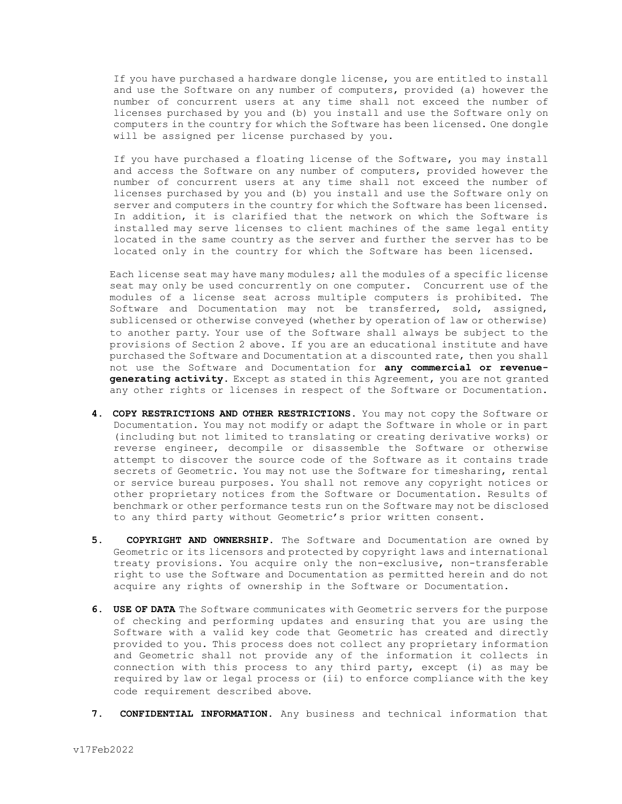If you have purchased a hardware dongle license, you are entitled to install and use the Software on any number of computers, provided (a) however the number of concurrent users at any time shall not exceed the number of licenses purchased by you and (b) you install and use the Software only on computers in the country for which the Software has been licensed. One dongle will be assigned per license purchased by you.

If you have purchased a floating license of the Software, you may install and access the Software on any number of computers, provided however the number of concurrent users at any time shall not exceed the number of licenses purchased by you and (b) you install and use the Software only on server and computers in the country for which the Software has been licensed. In addition, it is clarified that the network on which the Software is installed may serve licenses to client machines of the same legal entity located in the same country as the server and further the server has to be located only in the country for which the Software has been licensed.

Each license seat may have many modules; all the modules of a specific license seat may only be used concurrently on one computer. Concurrent use of the modules of a license seat across multiple computers is prohibited. The Software and Documentation may not be transferred, sold, assigned, sublicensed or otherwise conveyed (whether by operation of law or otherwise) to another party. Your use of the Software shall always be subject to the provisions of Section 2 above. If you are an educational institute and have purchased the Software and Documentation at a discounted rate, then you shall not use the Software and Documentation for **any commercial or revenuegenerating activity.** Except as stated in this Agreement, you are not granted any other rights or licenses in respect of the Software or Documentation.

- **4. COPY RESTRICTIONS AND OTHER RESTRICTIONS.** You may not copy the Software or Documentation. You may not modify or adapt the Software in whole or in part (including but not limited to translating or creating derivative works) or reverse engineer, decompile or disassemble the Software or otherwise attempt to discover the source code of the Software as it contains trade secrets of Geometric. You may not use the Software for timesharing, rental or service bureau purposes. You shall not remove any copyright notices or other proprietary notices from the Software or Documentation. Results of benchmark or other performance tests run on the Software may not be disclosed to any third party without Geometric's prior written consent.
- **5. COPYRIGHT AND OWNERSHIP.** The Software and Documentation are owned by Geometric or its licensors and protected by copyright laws and international treaty provisions. You acquire only the non-exclusive, non-transferable right to use the Software and Documentation as permitted herein and do not acquire any rights of ownership in the Software or Documentation.
- **6. USE OF DATA** The Software communicates with Geometric servers for the purpose of checking and performing updates and ensuring that you are using the Software with a valid key code that Geometric has created and directly provided to you. This process does not collect any proprietary information and Geometric shall not provide any of the information it collects in connection with this process to any third party, except (i) as may be required by law or legal process or (ii) to enforce compliance with the key code requirement described above.
- **7. CONFIDENTIAL INFORMATION.** Any business and technical information that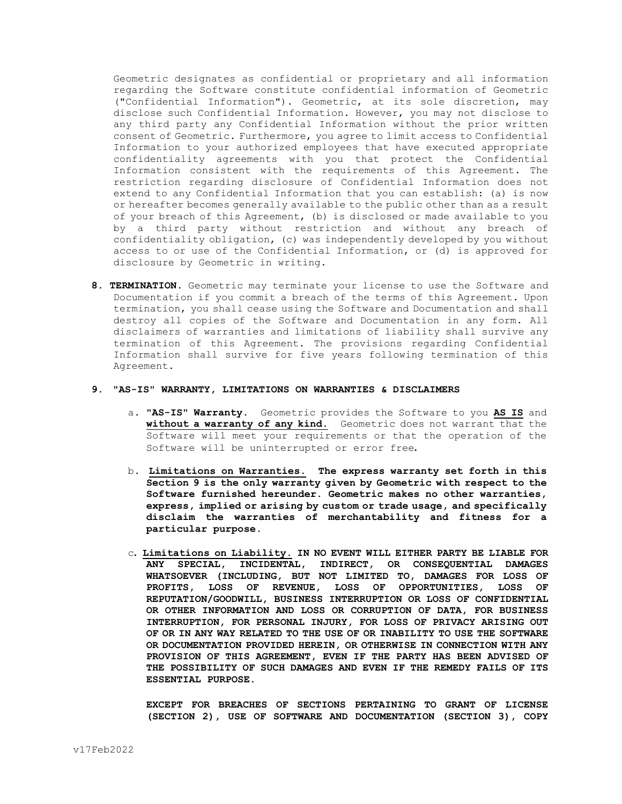Geometric designates as confidential or proprietary and all information regarding the Software constitute confidential information of Geometric ("Confidential Information"). Geometric, at its sole discretion, may disclose such Confidential Information. However, you may not disclose to any third party any Confidential Information without the prior written consent of Geometric. Furthermore, you agree to limit access to Confidential Information to your authorized employees that have executed appropriate confidentiality agreements with you that protect the Confidential Information consistent with the requirements of this Agreement. The restriction regarding disclosure of Confidential Information does not extend to any Confidential Information that you can establish: (a) is now or hereafter becomes generally available to the public other than as a result of your breach of this Agreement, (b) is disclosed or made available to you by a third party without restriction and without any breach of confidentiality obligation, (c) was independently developed by you without access to or use of the Confidential Information, or (d) is approved for disclosure by Geometric in writing.

**8. TERMINATION.** Geometric may terminate your license to use the Software and Documentation if you commit a breach of the terms of this Agreement. Upon termination, you shall cease using the Software and Documentation and shall destroy all copies of the Software and Documentation in any form. All disclaimers of warranties and limitations of liability shall survive any termination of this Agreement. The provisions regarding Confidential Information shall survive for five years following termination of this Agreement.

#### **9. "AS-IS" WARRANTY, LIMITATIONS ON WARRANTIES & DISCLAIMERS**

- a. **"AS-IS" Warranty.** Geometric provides the Software to you **AS IS** and **without a warranty of any kind.** Geometric does not warrant that the Software will meet your requirements or that the operation of the Software will be uninterrupted or error free**.**
- b. **Limitations on Warranties. The express warranty set forth in this Section 9 is the only warranty given by Geometric with respect to the Software furnished hereunder. Geometric makes no other warranties, express, implied or arising by custom or trade usage, and specifically disclaim the warranties of merchantability and fitness for a particular purpose.**
- c**. Limitations on Liability. IN NO EVENT WILL EITHER PARTY BE LIABLE FOR ANY SPECIAL, INCIDENTAL, INDIRECT, OR CONSEQUENTIAL DAMAGES WHATSOEVER (INCLUDING, BUT NOT LIMITED TO, DAMAGES FOR LOSS OF PROFITS, LOSS OF REVENUE, LOSS OF OPPORTUNITIES, LOSS OF REPUTATION/GOODWILL, BUSINESS INTERRUPTION OR LOSS OF CONFIDENTIAL OR OTHER INFORMATION AND LOSS OR CORRUPTION OF DATA, FOR BUSINESS INTERRUPTION, FOR PERSONAL INJURY, FOR LOSS OF PRIVACY ARISING OUT OF OR IN ANY WAY RELATED TO THE USE OF OR INABILITY TO USE THE SOFTWARE OR DOCUMENTATION PROVIDED HEREIN, OR OTHERWISE IN CONNECTION WITH ANY PROVISION OF THIS AGREEMENT, EVEN IF THE PARTY HAS BEEN ADVISED OF THE POSSIBILITY OF SUCH DAMAGES AND EVEN IF THE REMEDY FAILS OF ITS ESSENTIAL PURPOSE.**

**EXCEPT FOR BREACHES OF SECTIONS PERTAINING TO GRANT OF LICENSE (SECTION 2), USE OF SOFTWARE AND DOCUMENTATION (SECTION 3), COPY**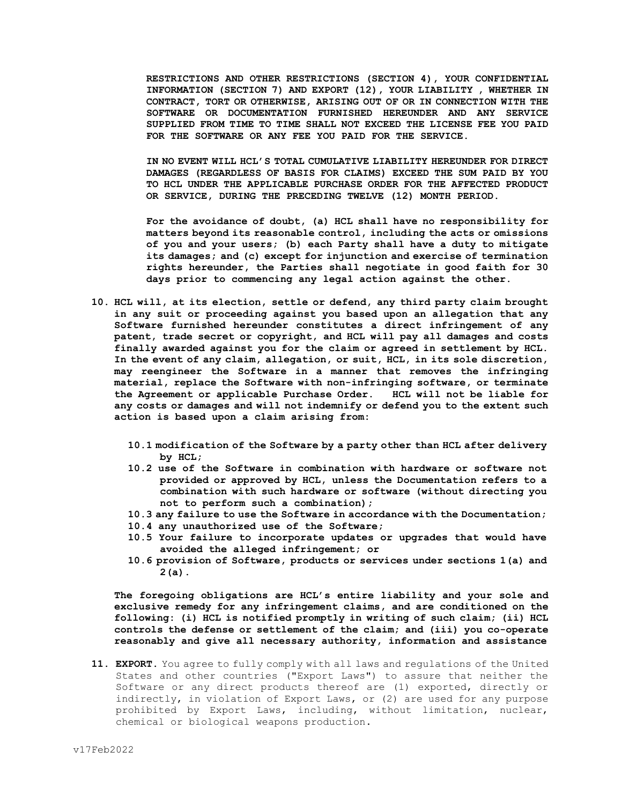**RESTRICTIONS AND OTHER RESTRICTIONS (SECTION 4), YOUR CONFIDENTIAL INFORMATION (SECTION 7) AND EXPORT (12), YOUR LIABILITY , WHETHER IN CONTRACT, TORT OR OTHERWISE, ARISING OUT OF OR IN CONNECTION WITH THE SOFTWARE OR DOCUMENTATION FURNISHED HEREUNDER AND ANY SERVICE SUPPLIED FROM TIME TO TIME SHALL NOT EXCEED THE LICENSE FEE YOU PAID FOR THE SOFTWARE OR ANY FEE YOU PAID FOR THE SERVICE.**

**IN NO EVENT WILL HCL'S TOTAL CUMULATIVE LIABILITY HEREUNDER FOR DIRECT DAMAGES (REGARDLESS OF BASIS FOR CLAIMS) EXCEED THE SUM PAID BY YOU TO HCL UNDER THE APPLICABLE PURCHASE ORDER FOR THE AFFECTED PRODUCT OR SERVICE, DURING THE PRECEDING TWELVE (12) MONTH PERIOD.**

**For the avoidance of doubt, (a) HCL shall have no responsibility for matters beyond its reasonable control, including the acts or omissions of you and your users; (b) each Party shall have a duty to mitigate its damages; and (c) except for injunction and exercise of termination rights hereunder, the Parties shall negotiate in good faith for 30 days prior to commencing any legal action against the other.**

- **10. HCL will, at its election, settle or defend, any third party claim brought in any suit or proceeding against you based upon an allegation that any Software furnished hereunder constitutes a direct infringement of any patent, trade secret or copyright, and HCL will pay all damages and costs finally awarded against you for the claim or agreed in settlement by HCL. In the event of any claim, allegation, or suit, HCL, in its sole discretion, may reengineer the Software in a manner that removes the infringing material, replace the Software with non-infringing software, or terminate the Agreement or applicable Purchase Order. HCL will not be liable for any costs or damages and will not indemnify or defend you to the extent such action is based upon a claim arising from:** 
	- **10.1 modification of the Software by a party other than HCL after delivery by HCL;**
	- **10.2 use of the Software in combination with hardware or software not provided or approved by HCL, unless the Documentation refers to a combination with such hardware or software (without directing you not to perform such a combination);**
	- **10.3 any failure to use the Software in accordance with the Documentation;**
	- **10.4 any unauthorized use of the Software;**
	- **10.5 Your failure to incorporate updates or upgrades that would have avoided the alleged infringement; or**
	- **10.6 provision of Software, products or services under sections 1(a) and 2(a).**

**The foregoing obligations are HCL's entire liability and your sole and exclusive remedy for any infringement claims, and are conditioned on the following: (i) HCL is notified promptly in writing of such claim; (ii) HCL controls the defense or settlement of the claim; and (iii) you co-operate reasonably and give all necessary authority, information and assistance**

**11. EXPORT.** You agree to fully comply with all laws and regulations of the United States and other countries ("Export Laws") to assure that neither the Software or any direct products thereof are (1) exported, directly or indirectly, in violation of Export Laws, or (2) are used for any purpose prohibited by Export Laws, including, without limitation, nuclear, chemical or biological weapons production.